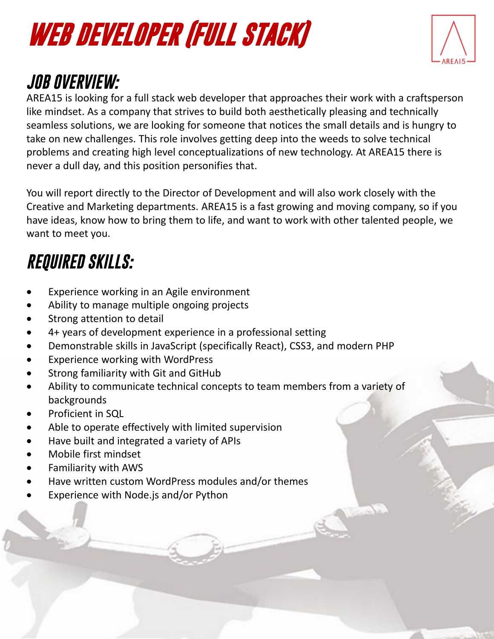# **WEB DEVELOPER (FULL STACK)**



### *JOB OVERVIEW:*

AREA15 is looking for a full stack web developer that approaches their work with a craftsperson like mindset. As a company that strives to build both aesthetically pleasing and technically seamless solutions, we are looking for someone that notices the small details and is hungry to take on new challenges. This role involves getting deep into the weeds to solve technical problems and creating high level conceptualizations of new technology. At AREA15 there is never a dull day, and this position personifies that.

You will report directly to the Director of Development and will also work closely with the Creative and Marketing departments. AREA15 is a fast growing and moving company, so if you have ideas, know how to bring them to life, and want to work with other talented people, we want to meet you.

## *REQUIRED SKILLS:*

- Experience working in an Agile environment
- Ability to manage multiple ongoing projects
- Strong attention to detail
- 4+ years of development experience in a professional setting
- Demonstrable skills in JavaScript (specifically React), CSS3, and modern PHP
- Experience working with WordPress
- Strong familiarity with Git and GitHub
- Ability to communicate technical concepts to team members from a variety of backgrounds
- Proficient in SQL
- Able to operate effectively with limited supervision
- Have built and integrated a variety of APIs
- Mobile first mindset
- Familiarity with AWS
- Have written custom WordPress modules and/or themes
- Experience with Node.js and/or Python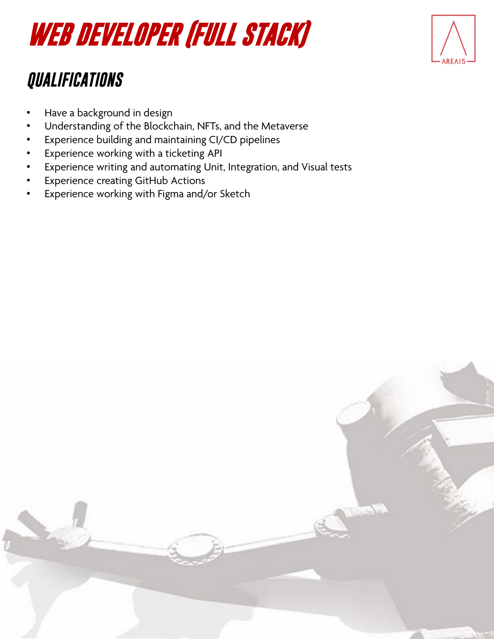## **WEB DEVELOPER (FULL STACK)**

#### *QUALIFICATIONS*

- Have a background in design
- Understanding of the Blockchain, NFTs, and the Metaverse
- Experience building and maintaining CI/CD pipelines
- Experience working with a ticketing API
- Experience writing and automating Unit, Integration, and Visual tests
- Experience creating GitHub Actions
- Experience working with Figma and/or Sketch